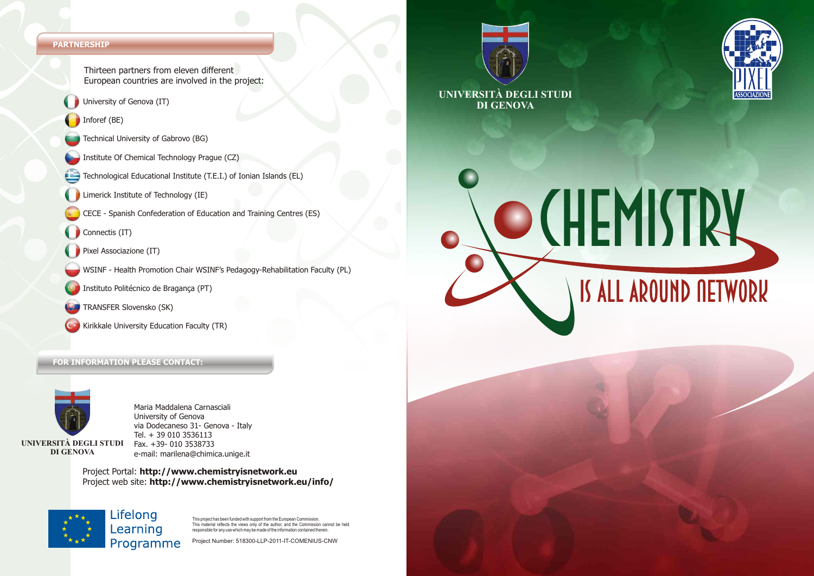#### **PARTNERSHIP**

Thirteen partners from eleven different European countries are involved in the project:

- University of Genova (IT)
- Inforef (BE)
- Technical University of Gabrovo (BG)
- Institute Of Chemical Technology Prague (CZ)
- Technological Educational Institute (T.E.I.) of Ionian Islands (EL)
- Limerick Institute of Technology (IE)
- CECE Spanish Confederation of Education and Training Centres (ES)
- Connectis (IT)
- Pixel Associazione (IT)
- WSINF Health Promotion Chair WSINF's Pedagogy-Rehabilitation Faculty (PL)
- Instituto Politécnico de Bragança (PT)
- TRANSFER Slovensko (SK)
- Kirikkale University Education Faculty (TR)

#### **FOR INFORMATION PLEASE CONTACT:**



**DI GENOVA**

Maria Maddalena Carnasciali University of Genova via Dodecaneso 31- Genova - Italy Tel. + 39 010 3536113 Fax. +39- 010 3538733 e-mail: marilena@chimica.unige.it

Project Portal: **http://www.chemistryisnetwork.eu**  Project web site: **http://www.chemistryisnetwork.eu/info/** 



This project has been funded with support from the European Commission. This material reflects the views only of the author, and the Commission cannot be held rms matcher reneeds the wews only of the dution, and the commission can<br>responsible for any use which may be made of the information contained therein

Project Number: 518300-LLP-2011-IT-COMENIUS-CNW